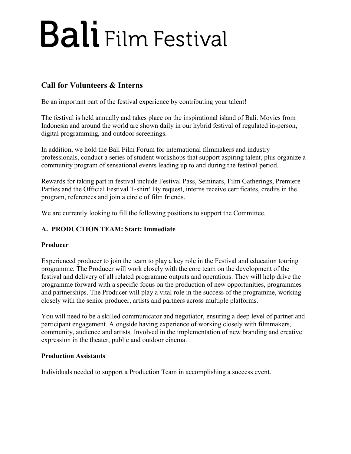### **Call for Volunteers & Interns**

Be an important part of the festival experience by contributing your talent!

The festival is held annually and takes place on the inspirational island of Bali. Movies from Indonesia and around the world are shown daily in our hybrid festival of regulated in-person, digital programming, and outdoor screenings.

In addition, we hold the Bali Film Forum for international filmmakers and industry professionals, conduct a series of student workshops that support aspiring talent, plus organize a community program of sensational events leading up to and during the festival period.

Rewards for taking part in festival include Festival Pass, Seminars, Film Gatherings, Premiere Parties and the Official Festival T-shirt! By request, interns receive certificates, credits in the program, references and join a circle of film friends.

We are currently looking to fill the following positions to support the Committee.

### **A. PRODUCTION TEAM: Start: Immediate**

#### **Producer**

Experienced producer to join the team to play a key role in the Festival and education touring programme. The Producer will work closely with the core team on the development of the festival and delivery of all related programme outputs and operations. They will help drive the programme forward with a specific focus on the production of new opportunities, programmes and partnerships. The Producer will play a vital role in the success of the programme, working closely with the senior producer, artists and partners across multiple platforms.

You will need to be a skilled communicator and negotiator, ensuring a deep level of partner and participant engagement. Alongside having experience of working closely with filmmakers, community, audience and artists. Involved in the implementation of new branding and creative expression in the theater, public and outdoor cinema.

#### **Production Assistants**

Individuals needed to support a Production Team in accomplishing a success event.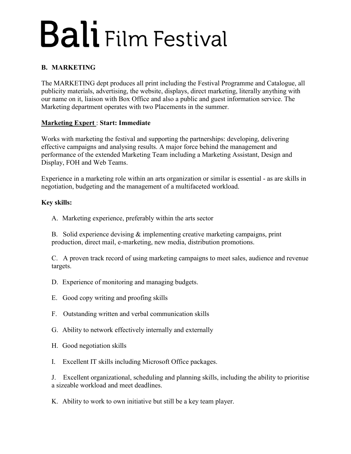### **B. MARKETING**

The MARKETING dept produces all print including the Festival Programme and Catalogue, all publicity materials, advertising, the website, displays, direct marketing, literally anything with our name on it, liaison with Box Office and also a public and guest information service. The Marketing department operates with two Placements in the summer.

#### **Marketing Expert** : **Start: Immediate**

Works with marketing the festival and supporting the partnerships: developing, delivering effective campaigns and analysing results. A major force behind the management and performance of the extended Marketing Team including a Marketing Assistant, Design and Display, FOH and Web Teams.

Experience in a marketing role within an arts organization or similar is essential - as are skills in negotiation, budgeting and the management of a multifaceted workload.

#### **Key skills:**

A. Marketing experience, preferably within the arts sector

B. Solid experience devising & implementing creative marketing campaigns, print production, direct mail, e-marketing, new media, distribution promotions.

C. A proven track record of using marketing campaigns to meet sales, audience and revenue targets.

- D. Experience of monitoring and managing budgets.
- E. Good copy writing and proofing skills
- F. Outstanding written and verbal communication skills
- G. Ability to network effectively internally and externally
- H. Good negotiation skills
- I. Excellent IT skills including Microsoft Office packages.

J. Excellent organizational, scheduling and planning skills, including the ability to prioritise a sizeable workload and meet deadlines.

K. Ability to work to own initiative but still be a key team player.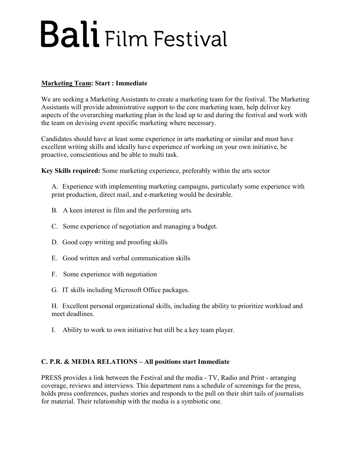#### **Marketing Team: Start : Immediate**

We are seeking a Marketing Assistants to create a marketing team for the festival. The Marketing Assistants will provide administrative support to the core marketing team, help deliver key aspects of the overarching marketing plan in the lead up to and during the festival and work with the team on devising event specific marketing where necessary.

Candidates should have at least some experience in arts marketing or similar and must have excellent writing skills and ideally have experience of working on your own initiative, be proactive, conscientious and be able to multi task.

**Key Skills required:** Some marketing experience, preferably within the arts sector

A. Experience with implementing marketing campaigns, particularly some experience with print production, direct mail, and e-marketing would be desirable.

- B. A keen interest in film and the performing arts.
- C. Some experience of negotiation and managing a budget.
- D. Good copy writing and proofing skills
- E. Good written and verbal communication skills
- F. Some experience with negotiation
- G. IT skills including Microsoft Office packages.

H. Excellent personal organizational skills, including the ability to prioritize workload and meet deadlines.

I. Ability to work to own initiative but still be a key team player.

#### **C. P.R. & MEDIA RELATIONS – All positions start Immediate**

PRESS provides a link between the Festival and the media - TV, Radio and Print - arranging coverage, reviews and interviews. This department runs a schedule of screenings for the press, holds press conferences, pushes stories and responds to the pull on their shirt tails of journalists for material. Their relationship with the media is a symbiotic one.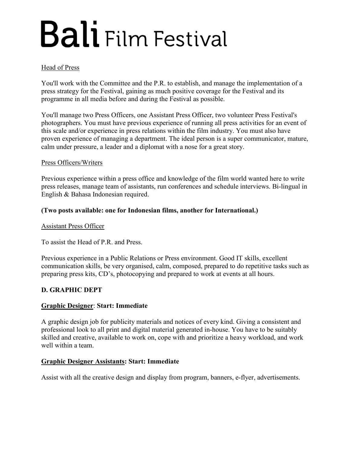#### Head of Press

You'll work with the Committee and the P.R. to establish, and manage the implementation of a press strategy for the Festival, gaining as much positive coverage for the Festival and its programme in all media before and during the Festival as possible.

You'll manage two Press Officers, one Assistant Press Officer, two volunteer Press Festival's photographers. You must have previous experience of running all press activities for an event of this scale and/or experience in press relations within the film industry. You must also have proven experience of managing a department. The ideal person is a super communicator, mature, calm under pressure, a leader and a diplomat with a nose for a great story.

#### Press Officers/Writers

Previous experience within a press office and knowledge of the film world wanted here to write press releases, manage team of assistants, run conferences and schedule interviews. Bi-lingual in English & Bahasa Indonesian required.

#### **(Two posts available: one for Indonesian films, another for International.)**

#### Assistant Press Officer

To assist the Head of P.R. and Press.

Previous experience in a Public Relations or Press environment. Good IT skills, excellent communication skills, be very organised, calm, composed, prepared to do repetitive tasks such as preparing press kits, CD's, photocopying and prepared to work at events at all hours.

#### **D. GRAPHIC DEPT**

#### **Graphic Designer**: **Start: Immediate**

A graphic design job for publicity materials and notices of every kind. Giving a consistent and professional look to all print and digital material generated in-house. You have to be suitably skilled and creative, available to work on, cope with and prioritize a heavy workload, and work well within a team.

#### **Graphic Designer Assistants: Start: Immediate**

Assist with all the creative design and display from program, banners, e-flyer, advertisements.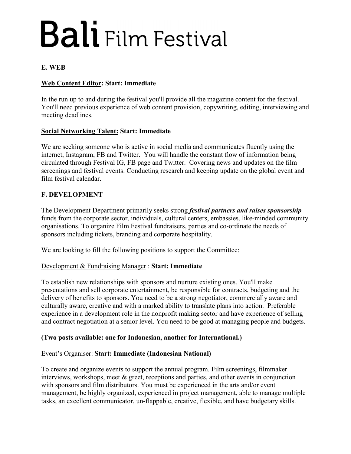#### **E. WEB**

#### **Web Content Editor: Start: Immediate**

In the run up to and during the festival you'll provide all the magazine content for the festival. You'll need previous experience of web content provision, copywriting, editing, interviewing and meeting deadlines.

#### **Social Networking Talent: Start: Immediate**

We are seeking someone who is active in social media and communicates fluently using the internet, Instagram, FB and Twitter. You will handle the constant flow of information being circulated through Festival IG, FB page and Twitter. Covering news and updates on the film screenings and festival events. Conducting research and keeping update on the global event and film festival calendar.

#### **F. DEVELOPMENT**

The Development Department primarily seeks strong *festival partners and raises sponsorship* funds from the corporate sector, individuals, cultural centers, embassies, like-minded community organisations. To organize Film Festival fundraisers, parties and co-ordinate the needs of sponsors including tickets, branding and corporate hospitality.

We are looking to fill the following positions to support the Committee:

#### Development & Fundraising Manager : **Start: Immediate**

To establish new relationships with sponsors and nurture existing ones. You'll make presentations and sell corporate entertainment, be responsible for contracts, budgeting and the delivery of benefits to sponsors. You need to be a strong negotiator, commercially aware and culturally aware, creative and with a marked ability to translate plans into action. Preferable experience in a development role in the nonprofit making sector and have experience of selling and contract negotiation at a senior level. You need to be good at managing people and budgets.

#### **(Two posts available: one for Indonesian, another for International.)**

#### Event's Organiser: **Start: Immediate (Indonesian National)**

To create and organize events to support the annual program. Film screenings, filmmaker interviews, workshops, meet & greet, receptions and parties, and other events in conjunction with sponsors and film distributors. You must be experienced in the arts and/or event management, be highly organized, experienced in project management, able to manage multiple tasks, an excellent communicator, un-flappable, creative, flexible, and have budgetary skills.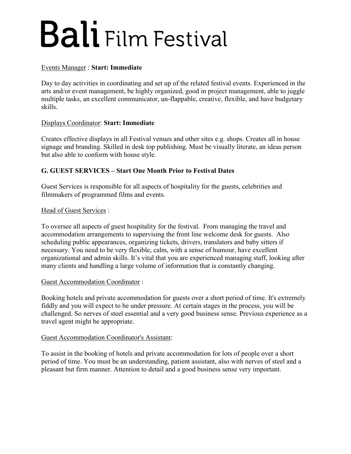#### Events Manager : **Start: Immediate**

Day to day activities in coordinating and set up of the related festival events. Experienced in the arts and/or event management, be highly organized, good in project management, able to juggle multiple tasks, an excellent communicator, un-flappable, creative, flexible, and have budgetary skills.

#### Displays Coordinator: **Start: Immediate**

Creates effective displays in all Festival venues and other sites e.g. shops. Creates all in house signage and branding. Skilled in desk top publishing. Must be visually literate, an ideas person but also able to conform with house style.

#### **G. GUEST SERVICES – Start One Month Prior to Festival Dates**

Guest Services is responsible for all aspects of hospitality for the guests, celebrities and filmmakers of programmed films and events.

#### Head of Guest Services :

To oversee all aspects of guest hospitality for the festival. From managing the travel and accommodation arrangements to supervising the front line welcome desk for guests. Also scheduling public appearances, organizing tickets, drivers, translators and baby sitters if necessary. You need to be very flexible, calm, with a sense of humour, have excellent organizational and admin skills. It's vital that you are experienced managing staff, looking after many clients and handling a large volume of information that is constantly changing.

#### Guest Accommodation Coordinator :

Booking hotels and private accommodation for guests over a short period of time. It's extremely fiddly and you will expect to be under pressure. At certain stages in the process, you will be challenged. So nerves of steel essential and a very good business sense. Previous experience as a travel agent might be appropriate.

#### Guest Accommodation Coordinator's Assistant:

To assist in the booking of hotels and private accommodation for lots of people over a short period of time. You must be an understanding, patient assistant, also with nerves of steel and a pleasant but firm manner. Attention to detail and a good business sense very important.